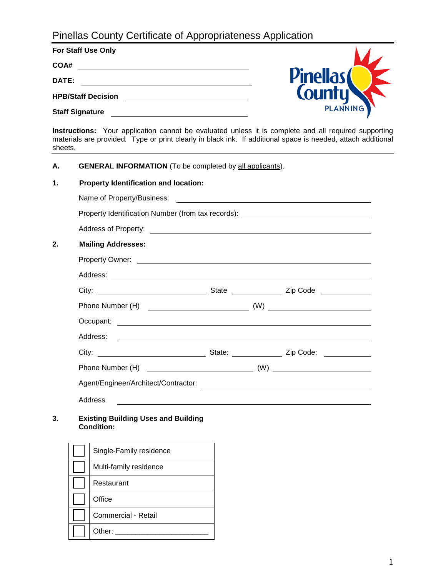# Pinellas County Certificate of Appropriateness Application

| <b>For Staff Use Only</b> |                 |
|---------------------------|-----------------|
| COA#                      |                 |
| DATE:                     | <b>Pinellas</b> |
| <b>HPB/Staff Decision</b> | <b>County</b>   |
| <b>Staff Signature</b>    | <b>PLANNING</b> |

**Instructions:** Your application cannot be evaluated unless it is complete and all required supporting materials are provided*.* Type or print clearly in black ink. If additional space is needed, attach additional sheets.

**A. GENERAL INFORMATION** (To be completed by all applicants).

| <b>Mailing Addresses:</b> |                                              |                                                                                                                                                                                                                                                                                                                                                                  |
|---------------------------|----------------------------------------------|------------------------------------------------------------------------------------------------------------------------------------------------------------------------------------------------------------------------------------------------------------------------------------------------------------------------------------------------------------------|
|                           |                                              |                                                                                                                                                                                                                                                                                                                                                                  |
|                           |                                              |                                                                                                                                                                                                                                                                                                                                                                  |
|                           |                                              |                                                                                                                                                                                                                                                                                                                                                                  |
|                           |                                              |                                                                                                                                                                                                                                                                                                                                                                  |
|                           |                                              |                                                                                                                                                                                                                                                                                                                                                                  |
|                           |                                              |                                                                                                                                                                                                                                                                                                                                                                  |
|                           |                                              |                                                                                                                                                                                                                                                                                                                                                                  |
|                           |                                              |                                                                                                                                                                                                                                                                                                                                                                  |
|                           |                                              |                                                                                                                                                                                                                                                                                                                                                                  |
| Address                   |                                              |                                                                                                                                                                                                                                                                                                                                                                  |
|                           | <b>Property Identification and location:</b> | Property Identification Number (from tax records): _____________________________<br>Property Owner: <u>Contract of the Contract of the Contract of the Contract of the Contract of the Contract of the Contract of the Contract of the Contract of the Contract of the Contract of the Contract of the Contract of t</u><br>Agent/Engineer/Architect/Contractor: |

**3. Existing Building Uses and Building Condition:**

| Single-Family residence |
|-------------------------|
| Multi-family residence  |
| Restaurant              |
| Office                  |
| Commercial - Retail     |
| Other:                  |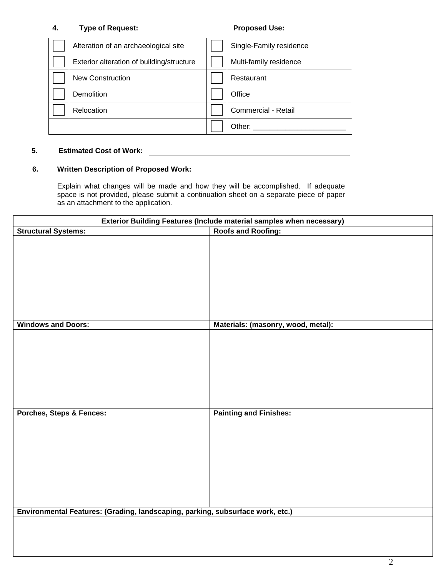### **4. Type of Request: Proposed Use:**

| Alteration of an archaeological site      | Single-Family residence |
|-------------------------------------------|-------------------------|
| Exterior alteration of building/structure | Multi-family residence  |
| <b>New Construction</b>                   | Restaurant              |
| Demolition                                | Office                  |
| Relocation                                | Commercial - Retail     |
|                                           | Other:                  |

#### **5. Estimated Cost of Work:**

## **6. Written Description of Proposed Work:**

Explain what changes will be made and how they will be accomplished. If adequate space is not provided, please submit a continuation sheet on a separate piece of paper as an attachment to the application.

| Exterior Building Features (Include material samples when necessary)           |                                    |  |  |
|--------------------------------------------------------------------------------|------------------------------------|--|--|
| <b>Roofs and Roofing:</b><br><b>Structural Systems:</b>                        |                                    |  |  |
|                                                                                |                                    |  |  |
| <b>Windows and Doors:</b>                                                      | Materials: (masonry, wood, metal): |  |  |
|                                                                                |                                    |  |  |
| <b>Porches, Steps &amp; Fences:</b>                                            | <b>Painting and Finishes:</b>      |  |  |
|                                                                                |                                    |  |  |
| Environmental Features: (Grading, landscaping, parking, subsurface work, etc.) |                                    |  |  |
|                                                                                |                                    |  |  |